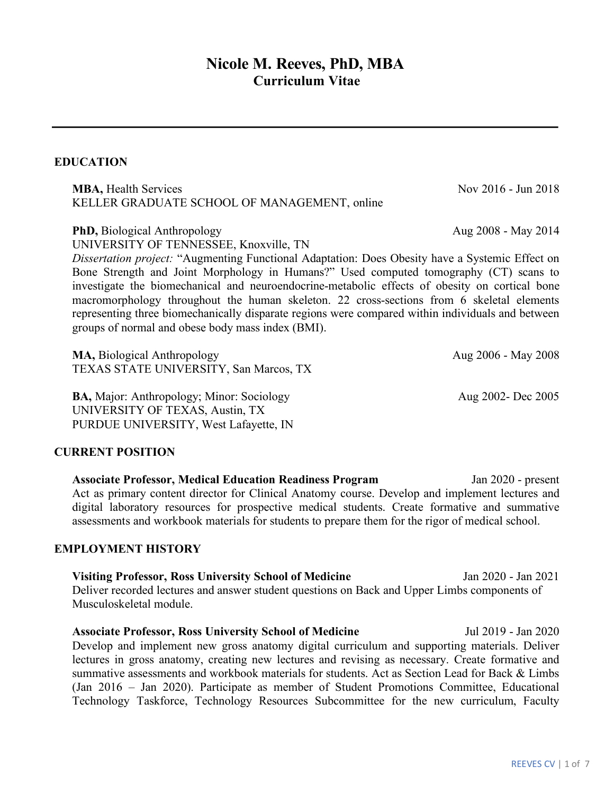# **Nicole M. Reeves, PhD, MBA Curriculum Vitae**

# **EDUCATION**

**MBA,** Health Services Nov 2016 - Jun 2018 KELLER GRADUATE SCHOOL OF MANAGEMENT, online

**PhD,** Biological Anthropology Aug 2008 - May 2014 UNIVERSITY OF TENNESSEE, Knoxville, TN

*Dissertation project:* "Augmenting Functional Adaptation: Does Obesity have a Systemic Effect on Bone Strength and Joint Morphology in Humans?" Used computed tomography (CT) scans to investigate the biomechanical and neuroendocrine-metabolic effects of obesity on cortical bone macromorphology throughout the human skeleton. 22 cross-sections from 6 skeletal elements representing three biomechanically disparate regions were compared within individuals and between groups of normal and obese body mass index (BMI).

**MA, Biological Anthropology <b>Aug 2006** - May 2008 TEXAS STATE UNIVERSITY, San Marcos, TX

**BA, Major: Anthropology; Minor: Sociology Aug 2002- Dec 2005** UNIVERSITY OF TEXAS, Austin, TX PURDUE UNIVERSITY, West Lafayette, IN

#### **CURRENT POSITION**

**Associate Professor, Medical Education Readiness Program** Jan 2020 - present Act as primary content director for Clinical Anatomy course. Develop and implement lectures and digital laboratory resources for prospective medical students. Create formative and summative assessments and workbook materials for students to prepare them for the rigor of medical school.

#### **EMPLOYMENT HISTORY**

**Visiting Professor, Ross University School of Medicine** Jan 2020 - Jan 2021 Deliver recorded lectures and answer student questions on Back and Upper Limbs components of Musculoskeletal module.

**Associate Professor, Ross University School of Medicine** Jul 2019 - Jan 2020 Develop and implement new gross anatomy digital curriculum and supporting materials. Deliver lectures in gross anatomy, creating new lectures and revising as necessary. Create formative and summative assessments and workbook materials for students. Act as Section Lead for Back & Limbs (Jan 2016 – Jan 2020). Participate as member of Student Promotions Committee, Educational Technology Taskforce, Technology Resources Subcommittee for the new curriculum, Faculty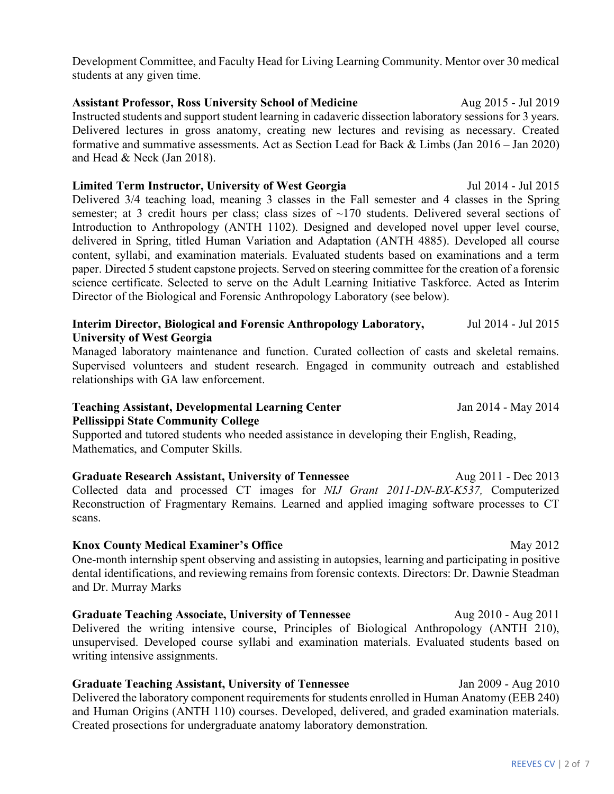Development Committee, and Faculty Head for Living Learning Community. Mentor over 30 medical students at any given time.

**Assistant Professor, Ross University School of Medicine** Aug 2015 - Jul 2019 Instructed students and support student learning in cadaveric dissection laboratory sessions for 3 years. Delivered lectures in gross anatomy, creating new lectures and revising as necessary. Created formative and summative assessments. Act as Section Lead for Back & Limbs (Jan 2016 – Jan 2020) and Head & Neck (Jan 2018).

#### **Limited Term Instructor, University of West Georgia** Jul 2014 - Jul 2015

Delivered 3/4 teaching load, meaning 3 classes in the Fall semester and 4 classes in the Spring semester; at 3 credit hours per class; class sizes of ~170 students. Delivered several sections of Introduction to Anthropology (ANTH 1102). Designed and developed novel upper level course, delivered in Spring, titled Human Variation and Adaptation (ANTH 4885). Developed all course content, syllabi, and examination materials. Evaluated students based on examinations and a term paper. Directed 5 student capstone projects. Served on steering committee for the creation of a forensic science certificate. Selected to serve on the Adult Learning Initiative Taskforce. Acted as Interim Director of the Biological and Forensic Anthropology Laboratory (see below).

#### **Interim Director, Biological and Forensic Anthropology Laboratory,** Jul 2014 - Jul 2015 **University of West Georgia**

Managed laboratory maintenance and function. Curated collection of casts and skeletal remains. Supervised volunteers and student research. Engaged in community outreach and established relationships with GA law enforcement.

#### **Teaching Assistant, Developmental Learning Center** Jan 2014 - May 2014 **Pellissippi State Community College**

Supported and tutored students who needed assistance in developing their English, Reading, Mathematics, and Computer Skills.

**Graduate Research Assistant, University of Tennessee Aug 2011 - Dec 2013** Collected data and processed CT images for *NIJ Grant 2011-DN-BX-K537,* Computerized Reconstruction of Fragmentary Remains. Learned and applied imaging software processes to CT scans.

#### **Knox County Medical Examiner's Office** May 2012

One-month internship spent observing and assisting in autopsies, learning and participating in positive dental identifications, and reviewing remains from forensic contexts. Directors: Dr. Dawnie Steadman and Dr. Murray Marks

**Graduate Teaching Associate, University of Tennessee Aug 2010 - Aug 2011** Delivered the writing intensive course, Principles of Biological Anthropology (ANTH 210), unsupervised. Developed course syllabi and examination materials. Evaluated students based on writing intensive assignments.

**Graduate Teaching Assistant, University of Tennessee** Jan 2009 - Aug 2010 Delivered the laboratory component requirements for students enrolled in Human Anatomy (EEB 240) and Human Origins (ANTH 110) courses. Developed, delivered, and graded examination materials. Created prosections for undergraduate anatomy laboratory demonstration.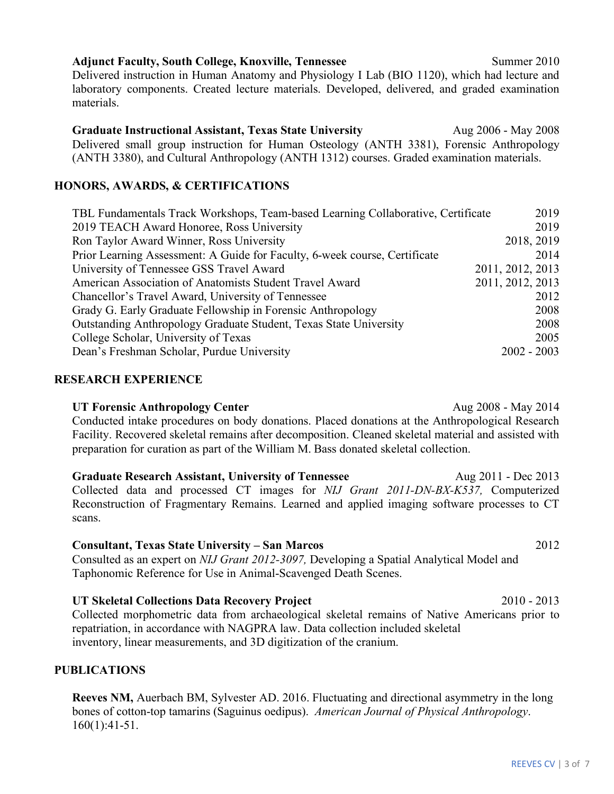#### **Adjunct Faculty, South College, Knoxville, Tennessee Summer 2010** Summer 2010

Delivered instruction in Human Anatomy and Physiology I Lab (BIO 1120), which had lecture and laboratory components. Created lecture materials. Developed, delivered, and graded examination materials.

**Graduate Instructional Assistant, Texas State University**Aug 2006 - May 2008 Delivered small group instruction for Human Osteology (ANTH 3381), Forensic Anthropology (ANTH 3380), and Cultural Anthropology (ANTH 1312) courses. Graded examination materials.

## **HONORS, AWARDS, & CERTIFICATIONS**

| TBL Fundamentals Track Workshops, Team-based Learning Collaborative, Certificate | 2019             |
|----------------------------------------------------------------------------------|------------------|
| 2019 TEACH Award Honoree, Ross University                                        | 2019             |
| Ron Taylor Award Winner, Ross University                                         | 2018, 2019       |
| Prior Learning Assessment: A Guide for Faculty, 6-week course, Certificate       | 2014             |
| University of Tennessee GSS Travel Award                                         | 2011, 2012, 2013 |
| American Association of Anatomists Student Travel Award                          | 2011, 2012, 2013 |
| Chancellor's Travel Award, University of Tennessee                               | 2012             |
| Grady G. Early Graduate Fellowship in Forensic Anthropology                      | 2008             |
| Outstanding Anthropology Graduate Student, Texas State University                | 2008             |
| College Scholar, University of Texas                                             | 2005             |
| Dean's Freshman Scholar, Purdue University                                       | $2002 - 2003$    |

#### **RESEARCH EXPERIENCE**

**UT Forensic Anthropology Center** Aug 2008 - May 2014 Conducted intake procedures on body donations. Placed donations at the Anthropological Research Facility. Recovered skeletal remains after decomposition. Cleaned skeletal material and assisted with preparation for curation as part of the William M. Bass donated skeletal collection.

**Graduate Research Assistant, University of Tennessee Aug 2011 - Dec 2013** Collected data and processed CT images for *NIJ Grant 2011-DN-BX-K537,* Computerized Reconstruction of Fragmentary Remains. Learned and applied imaging software processes to CT scans.

#### **Consultant, Texas State University – San Marcos** 2012

Consulted as an expert on *NIJ Grant 2012-3097,* Developing a Spatial Analytical Model and Taphonomic Reference for Use in Animal-Scavenged Death Scenes.

# **UT Skeletal Collections Data Recovery Project** 2010 - 2013

Collected morphometric data from archaeological skeletal remains of Native Americans prior to repatriation, in accordance with NAGPRA law. Data collection included skeletal inventory, linear measurements, and 3D digitization of the cranium.

# **PUBLICATIONS**

**Reeves NM,** Auerbach BM, Sylvester AD. 2016. Fluctuating and directional asymmetry in the long bones of cotton-top tamarins (Saguinus oedipus). *American Journal of Physical Anthropology*. 160(1):41-51.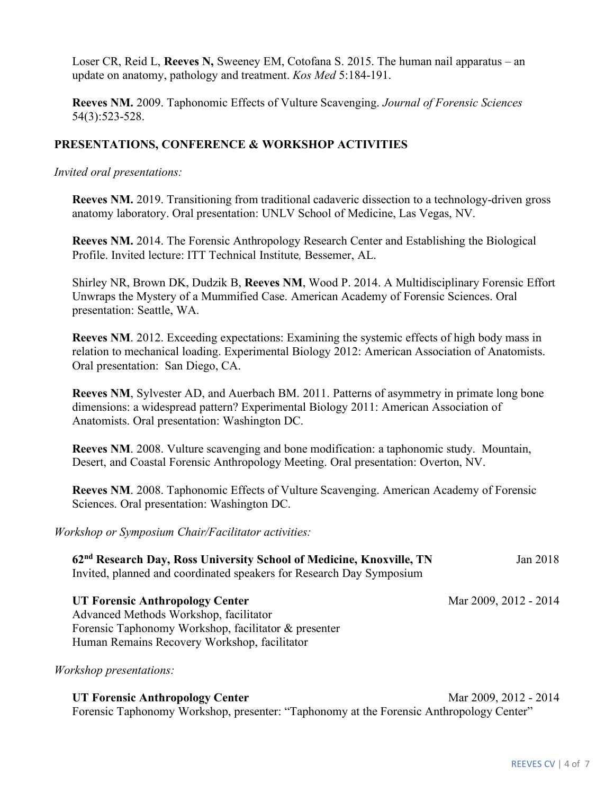Loser CR, Reid L, **Reeves N,** Sweeney EM, Cotofana S. 2015. The human nail apparatus – an update on anatomy, pathology and treatment. *Kos Med* 5:184-191.

**Reeves NM.** 2009. Taphonomic Effects of Vulture Scavenging. *Journal of Forensic Sciences* 54(3):523-528.

## **PRESENTATIONS, CONFERENCE & WORKSHOP ACTIVITIES**

*Invited oral presentations:*

**Reeves NM.** 2019. Transitioning from traditional cadaveric dissection to a technology-driven gross anatomy laboratory. Oral presentation: UNLV School of Medicine, Las Vegas, NV.

**Reeves NM.** 2014. The Forensic Anthropology Research Center and Establishing the Biological Profile. Invited lecture: ITT Technical Institute*,* Bessemer, AL.

Shirley NR, Brown DK, Dudzik B, **Reeves NM**, Wood P. 2014. A Multidisciplinary Forensic Effort Unwraps the Mystery of a Mummified Case. American Academy of Forensic Sciences. Oral presentation: Seattle, WA.

**Reeves NM**. 2012. Exceeding expectations: Examining the systemic effects of high body mass in relation to mechanical loading. Experimental Biology 2012: American Association of Anatomists. Oral presentation: San Diego, CA.

**Reeves NM**, Sylvester AD, and Auerbach BM. 2011. Patterns of asymmetry in primate long bone dimensions: a widespread pattern? Experimental Biology 2011: American Association of Anatomists. Oral presentation: Washington DC.

**Reeves NM**. 2008. Vulture scavenging and bone modification: a taphonomic study. Mountain, Desert, and Coastal Forensic Anthropology Meeting. Oral presentation: Overton, NV.

**Reeves NM**. 2008. Taphonomic Effects of Vulture Scavenging. American Academy of Forensic Sciences. Oral presentation: Washington DC.

*Workshop or Symposium Chair/Facilitator activities:*

| 62 <sup>nd</sup> Research Day, Ross University School of Medicine, Knoxville, TN | Jan 2018 |
|----------------------------------------------------------------------------------|----------|
| Invited, planned and coordinated speakers for Research Day Symposium             |          |

**UT Forensic Anthropology Center** Mar 2009, 2012 - 2014

Advanced Methods Workshop, facilitator Forensic Taphonomy Workshop, facilitator & presenter Human Remains Recovery Workshop, facilitator

*Workshop presentations:*

**UT Forensic Anthropology Center** Mar 2009, 2012 - 2014 Forensic Taphonomy Workshop, presenter: "Taphonomy at the Forensic Anthropology Center"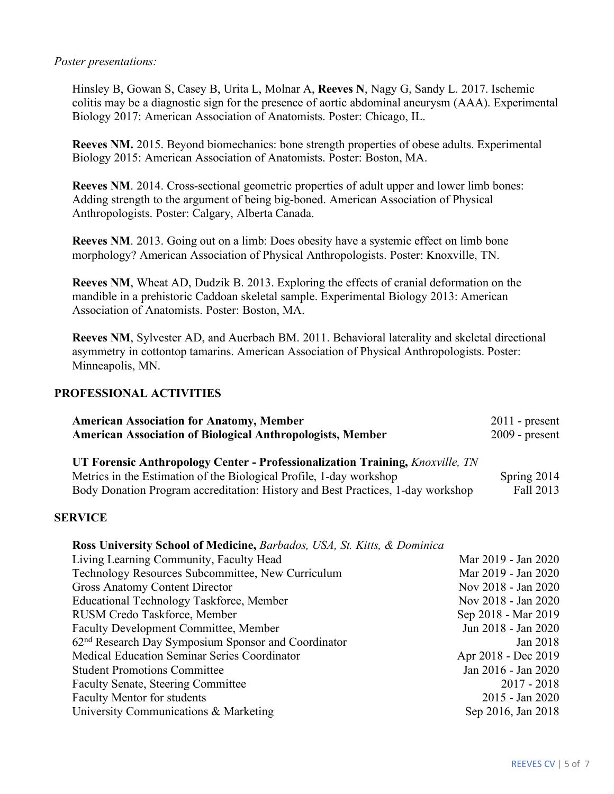#### *Poster presentations:*

Hinsley B, Gowan S, Casey B, Urita L, Molnar A, **Reeves N**, Nagy G, Sandy L. 2017. Ischemic colitis may be a diagnostic sign for the presence of aortic abdominal aneurysm (AAA). Experimental Biology 2017: American Association of Anatomists. Poster: Chicago, IL.

**Reeves NM.** 2015. Beyond biomechanics: bone strength properties of obese adults. Experimental Biology 2015: American Association of Anatomists. Poster: Boston, MA.

**Reeves NM**. 2014. Cross-sectional geometric properties of adult upper and lower limb bones: Adding strength to the argument of being big-boned. American Association of Physical Anthropologists. Poster: Calgary, Alberta Canada.

**Reeves NM**. 2013. Going out on a limb: Does obesity have a systemic effect on limb bone morphology? American Association of Physical Anthropologists. Poster: Knoxville, TN.

**Reeves NM**, Wheat AD, Dudzik B. 2013. Exploring the effects of cranial deformation on the mandible in a prehistoric Caddoan skeletal sample. Experimental Biology 2013: American Association of Anatomists. Poster: Boston, MA.

**Reeves NM**, Sylvester AD, and Auerbach BM. 2011. Behavioral laterality and skeletal directional asymmetry in cottontop tamarins. American Association of Physical Anthropologists. Poster: Minneapolis, MN.

## **PROFESSIONAL ACTIVITIES**

| <b>American Association for Anatomy, Member</b>                                                                                                             | $2011$ - present    |
|-------------------------------------------------------------------------------------------------------------------------------------------------------------|---------------------|
| <b>American Association of Biological Anthropologists, Member</b>                                                                                           | $2009$ - present    |
| UT Forensic Anthropology Center - Professionalization Training, <i>Knoxville, TN</i><br>Metrics in the Estimation of the Biological Profile, 1-day workshop | Spring 2014         |
| Body Donation Program accreditation: History and Best Practices, 1-day workshop                                                                             | Fall 2013           |
| <b>SERVICE</b>                                                                                                                                              |                     |
| <b>Ross University School of Medicine, Barbados, USA, St. Kitts, &amp; Dominica</b>                                                                         |                     |
| Living Learning Community, Faculty Head                                                                                                                     | Mar 2019 - Jan 2020 |
| Technology Resources Subcommittee, New Curriculum                                                                                                           | Mar 2019 - Jan 2020 |
| <b>Gross Anatomy Content Director</b>                                                                                                                       | Nov 2018 - Jan 2020 |
| Educational Technology Taskforce, Member                                                                                                                    | Nov 2018 - Jan 2020 |
| RUSM Credo Taskforce, Member                                                                                                                                | Sep 2018 - Mar 2019 |
| <b>Faculty Development Committee, Member</b>                                                                                                                | Jun 2018 - Jan 2020 |
| 62 <sup>nd</sup> Research Day Symposium Sponsor and Coordinator                                                                                             | Jan 2018            |
| Medical Education Seminar Series Coordinator                                                                                                                | Apr 2018 - Dec 2019 |
| <b>Student Promotions Committee</b>                                                                                                                         | Jan 2016 - Jan 2020 |
| <b>Faculty Senate, Steering Committee</b>                                                                                                                   | $2017 - 2018$       |
| <b>Faculty Mentor for students</b>                                                                                                                          | 2015 - Jan 2020     |
| University Communications & Marketing                                                                                                                       | Sep 2016, Jan 2018  |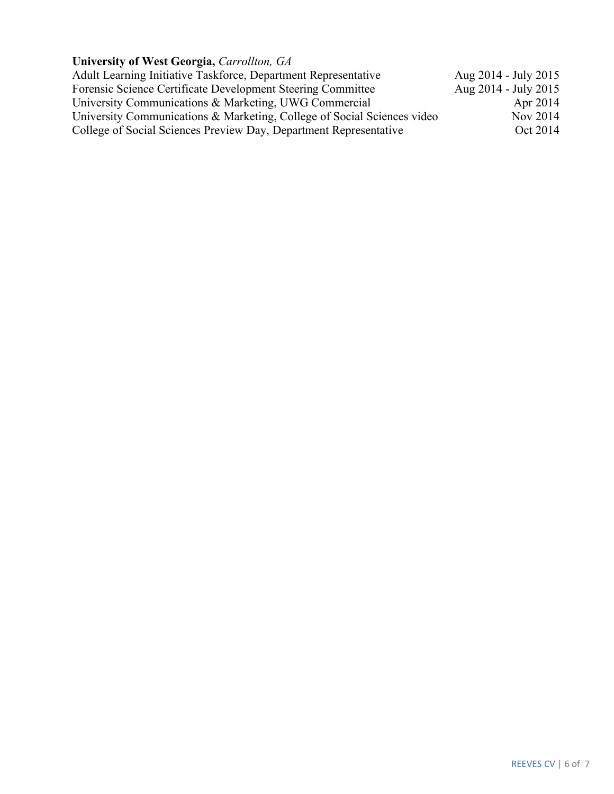# **University of West Georgia,** *Carrollton, GA*

| Adult Learning Initiative Taskforce, Department Representative          | Aug 2014 - July 2015 |
|-------------------------------------------------------------------------|----------------------|
| Forensic Science Certificate Development Steering Committee             | Aug 2014 - July 2015 |
| University Communications & Marketing, UWG Commercial                   | Apr 2014             |
| University Communications & Marketing, College of Social Sciences video | Nov 2014             |
| College of Social Sciences Preview Day, Department Representative       | Oct 2014             |
|                                                                         |                      |